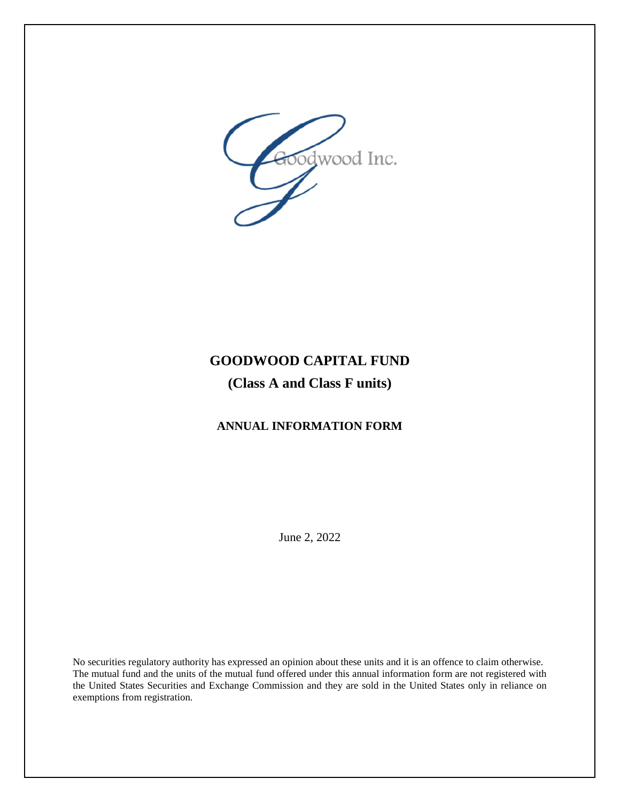

# **GOODWOOD CAPITAL FUND (Class A and Class F units)**

## **ANNUAL INFORMATION FORM**

June 2, 2022

No securities regulatory authority has expressed an opinion about these units and it is an offence to claim otherwise. The mutual fund and the units of the mutual fund offered under this annual information form are not registered with the United States Securities and Exchange Commission and they are sold in the United States only in reliance on exemptions from registration.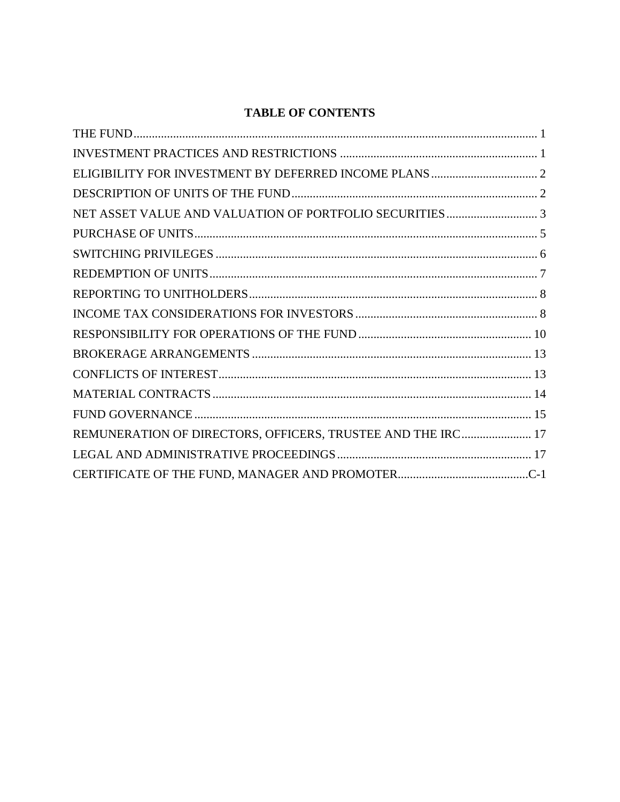# **TABLE OF CONTENTS**

| REMUNERATION OF DIRECTORS, OFFICERS, TRUSTEE AND THE IRC 17 |  |
|-------------------------------------------------------------|--|
|                                                             |  |
|                                                             |  |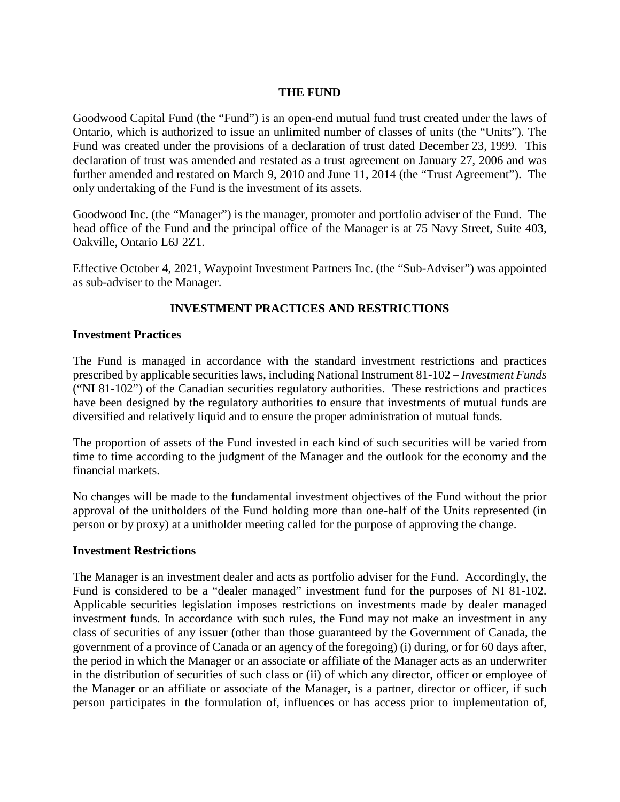#### **THE FUND**

Goodwood Capital Fund (the "Fund") is an open-end mutual fund trust created under the laws of Ontario, which is authorized to issue an unlimited number of classes of units (the "Units"). The Fund was created under the provisions of a declaration of trust dated December 23, 1999. This declaration of trust was amended and restated as a trust agreement on January 27, 2006 and was further amended and restated on March 9, 2010 and June 11, 2014 (the "Trust Agreement"). The only undertaking of the Fund is the investment of its assets.

Goodwood Inc. (the "Manager") is the manager, promoter and portfolio adviser of the Fund. The head office of the Fund and the principal office of the Manager is at 75 Navy Street, Suite 403, Oakville, Ontario L6J 2Z1.

Effective October 4, 2021, Waypoint Investment Partners Inc. (the "Sub-Adviser") was appointed as sub-adviser to the Manager.

## **INVESTMENT PRACTICES AND RESTRICTIONS**

#### **Investment Practices**

The Fund is managed in accordance with the standard investment restrictions and practices prescribed by applicable securities laws, including National Instrument 81-102 – *Investment Funds*  ("NI 81-102") of the Canadian securities regulatory authorities. These restrictions and practices have been designed by the regulatory authorities to ensure that investments of mutual funds are diversified and relatively liquid and to ensure the proper administration of mutual funds.

The proportion of assets of the Fund invested in each kind of such securities will be varied from time to time according to the judgment of the Manager and the outlook for the economy and the financial markets.

No changes will be made to the fundamental investment objectives of the Fund without the prior approval of the unitholders of the Fund holding more than one-half of the Units represented (in person or by proxy) at a unitholder meeting called for the purpose of approving the change.

#### **Investment Restrictions**

The Manager is an investment dealer and acts as portfolio adviser for the Fund. Accordingly, the Fund is considered to be a "dealer managed" investment fund for the purposes of NI 81-102. Applicable securities legislation imposes restrictions on investments made by dealer managed investment funds. In accordance with such rules, the Fund may not make an investment in any class of securities of any issuer (other than those guaranteed by the Government of Canada, the government of a province of Canada or an agency of the foregoing) (i) during, or for 60 days after, the period in which the Manager or an associate or affiliate of the Manager acts as an underwriter in the distribution of securities of such class or (ii) of which any director, officer or employee of the Manager or an affiliate or associate of the Manager, is a partner, director or officer, if such person participates in the formulation of, influences or has access prior to implementation of,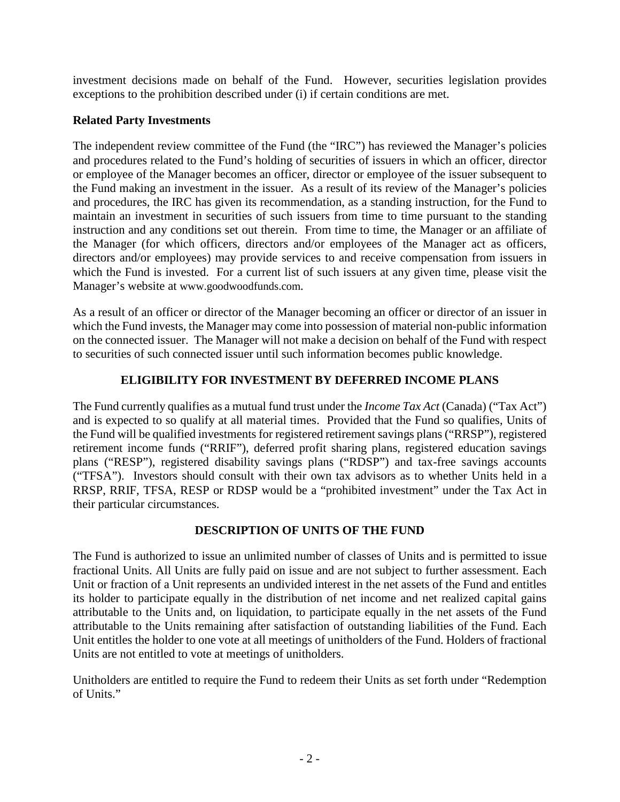investment decisions made on behalf of the Fund. However, securities legislation provides exceptions to the prohibition described under (i) if certain conditions are met.

## **Related Party Investments**

The independent review committee of the Fund (the "IRC") has reviewed the Manager's policies and procedures related to the Fund's holding of securities of issuers in which an officer, director or employee of the Manager becomes an officer, director or employee of the issuer subsequent to the Fund making an investment in the issuer. As a result of its review of the Manager's policies and procedures, the IRC has given its recommendation, as a standing instruction, for the Fund to maintain an investment in securities of such issuers from time to time pursuant to the standing instruction and any conditions set out therein. From time to time, the Manager or an affiliate of the Manager (for which officers, directors and/or employees of the Manager act as officers, directors and/or employees) may provide services to and receive compensation from issuers in which the Fund is invested. For a current list of such issuers at any given time, please visit the Manager's website at www.goodwoodfunds.com.

As a result of an officer or director of the Manager becoming an officer or director of an issuer in which the Fund invests, the Manager may come into possession of material non-public information on the connected issuer. The Manager will not make a decision on behalf of the Fund with respect to securities of such connected issuer until such information becomes public knowledge.

## **ELIGIBILITY FOR INVESTMENT BY DEFERRED INCOME PLANS**

The Fund currently qualifies as a mutual fund trust under the *Income Tax Act* (Canada) ("Tax Act") and is expected to so qualify at all material times. Provided that the Fund so qualifies, Units of the Fund will be qualified investments for registered retirement savings plans ("RRSP"), registered retirement income funds ("RRIF"), deferred profit sharing plans, registered education savings plans ("RESP"), registered disability savings plans ("RDSP") and tax-free savings accounts ("TFSA"). Investors should consult with their own tax advisors as to whether Units held in a RRSP, RRIF, TFSA, RESP or RDSP would be a "prohibited investment" under the Tax Act in their particular circumstances.

## **DESCRIPTION OF UNITS OF THE FUND**

The Fund is authorized to issue an unlimited number of classes of Units and is permitted to issue fractional Units. All Units are fully paid on issue and are not subject to further assessment. Each Unit or fraction of a Unit represents an undivided interest in the net assets of the Fund and entitles its holder to participate equally in the distribution of net income and net realized capital gains attributable to the Units and, on liquidation, to participate equally in the net assets of the Fund attributable to the Units remaining after satisfaction of outstanding liabilities of the Fund. Each Unit entitles the holder to one vote at all meetings of unitholders of the Fund. Holders of fractional Units are not entitled to vote at meetings of unitholders.

Unitholders are entitled to require the Fund to redeem their Units as set forth under "Redemption of Units."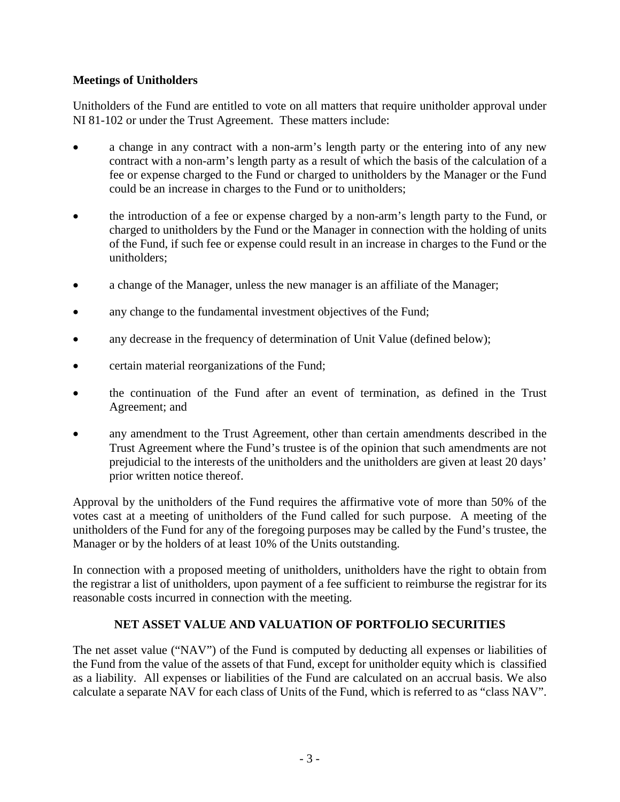## **Meetings of Unitholders**

Unitholders of the Fund are entitled to vote on all matters that require unitholder approval under NI 81-102 or under the Trust Agreement. These matters include:

- a change in any contract with a non-arm's length party or the entering into of any new contract with a non-arm's length party as a result of which the basis of the calculation of a fee or expense charged to the Fund or charged to unitholders by the Manager or the Fund could be an increase in charges to the Fund or to unitholders;
- the introduction of a fee or expense charged by a non-arm's length party to the Fund, or charged to unitholders by the Fund or the Manager in connection with the holding of units of the Fund, if such fee or expense could result in an increase in charges to the Fund or the unitholders;
- a change of the Manager, unless the new manager is an affiliate of the Manager;
- any change to the fundamental investment objectives of the Fund;
- any decrease in the frequency of determination of Unit Value (defined below);
- certain material reorganizations of the Fund;
- the continuation of the Fund after an event of termination, as defined in the Trust Agreement; and
- any amendment to the Trust Agreement, other than certain amendments described in the Trust Agreement where the Fund's trustee is of the opinion that such amendments are not prejudicial to the interests of the unitholders and the unitholders are given at least 20 days' prior written notice thereof.

Approval by the unitholders of the Fund requires the affirmative vote of more than 50% of the votes cast at a meeting of unitholders of the Fund called for such purpose. A meeting of the unitholders of the Fund for any of the foregoing purposes may be called by the Fund's trustee, the Manager or by the holders of at least 10% of the Units outstanding.

In connection with a proposed meeting of unitholders, unitholders have the right to obtain from the registrar a list of unitholders, upon payment of a fee sufficient to reimburse the registrar for its reasonable costs incurred in connection with the meeting.

# **NET ASSET VALUE AND VALUATION OF PORTFOLIO SECURITIES**

The net asset value ("NAV") of the Fund is computed by deducting all expenses or liabilities of the Fund from the value of the assets of that Fund, except for unitholder equity which is classified as a liability. All expenses or liabilities of the Fund are calculated on an accrual basis. We also calculate a separate NAV for each class of Units of the Fund, which is referred to as "class NAV".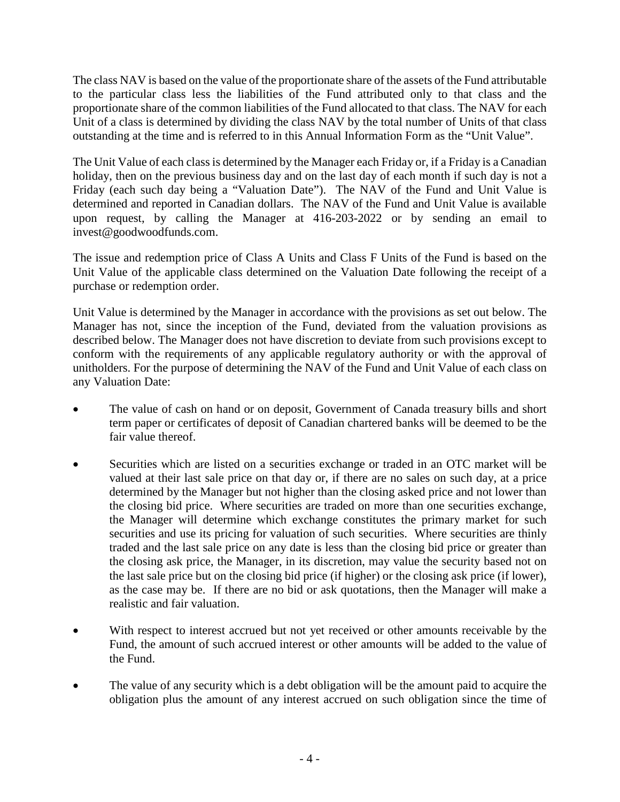The class NAV is based on the value of the proportionate share of the assets of the Fund attributable to the particular class less the liabilities of the Fund attributed only to that class and the proportionate share of the common liabilities of the Fund allocated to that class. The NAV for each Unit of a class is determined by dividing the class NAV by the total number of Units of that class outstanding at the time and is referred to in this Annual Information Form as the "Unit Value".

The Unit Value of each class is determined by the Manager each Friday or, if a Friday is a Canadian holiday, then on the previous business day and on the last day of each month if such day is not a Friday (each such day being a "Valuation Date"). The NAV of the Fund and Unit Value is determined and reported in Canadian dollars. The NAV of the Fund and Unit Value is available upon request, by calling the Manager at 416-203-2022 or by sending an email to invest@goodwoodfunds.com.

The issue and redemption price of Class A Units and Class F Units of the Fund is based on the Unit Value of the applicable class determined on the Valuation Date following the receipt of a purchase or redemption order.

Unit Value is determined by the Manager in accordance with the provisions as set out below. The Manager has not, since the inception of the Fund, deviated from the valuation provisions as described below. The Manager does not have discretion to deviate from such provisions except to conform with the requirements of any applicable regulatory authority or with the approval of unitholders. For the purpose of determining the NAV of the Fund and Unit Value of each class on any Valuation Date:

- The value of cash on hand or on deposit, Government of Canada treasury bills and short term paper or certificates of deposit of Canadian chartered banks will be deemed to be the fair value thereof.
- Securities which are listed on a securities exchange or traded in an OTC market will be valued at their last sale price on that day or, if there are no sales on such day, at a price determined by the Manager but not higher than the closing asked price and not lower than the closing bid price. Where securities are traded on more than one securities exchange, the Manager will determine which exchange constitutes the primary market for such securities and use its pricing for valuation of such securities. Where securities are thinly traded and the last sale price on any date is less than the closing bid price or greater than the closing ask price, the Manager, in its discretion, may value the security based not on the last sale price but on the closing bid price (if higher) or the closing ask price (if lower), as the case may be. If there are no bid or ask quotations, then the Manager will make a realistic and fair valuation.
- With respect to interest accrued but not yet received or other amounts receivable by the Fund, the amount of such accrued interest or other amounts will be added to the value of the Fund.
- The value of any security which is a debt obligation will be the amount paid to acquire the obligation plus the amount of any interest accrued on such obligation since the time of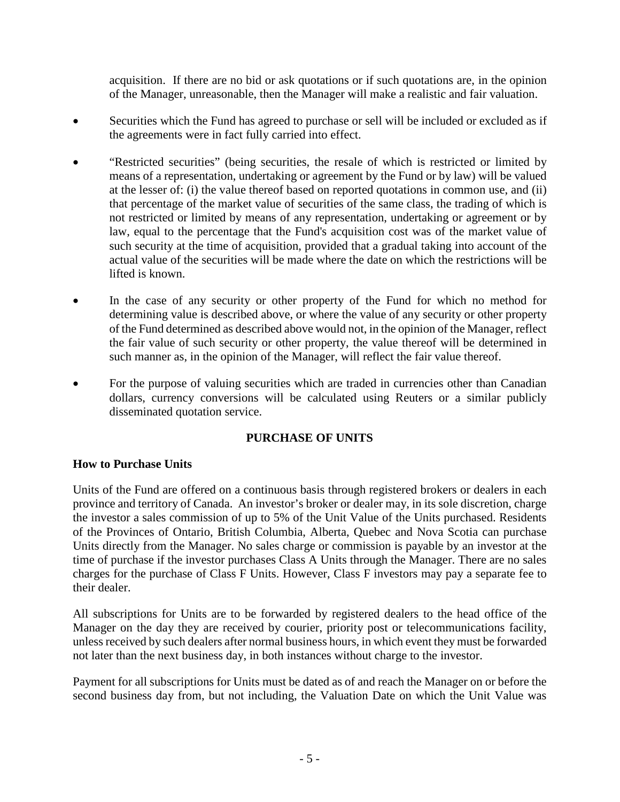acquisition. If there are no bid or ask quotations or if such quotations are, in the opinion of the Manager, unreasonable, then the Manager will make a realistic and fair valuation.

- Securities which the Fund has agreed to purchase or sell will be included or excluded as if the agreements were in fact fully carried into effect.
- "Restricted securities" (being securities, the resale of which is restricted or limited by means of a representation, undertaking or agreement by the Fund or by law) will be valued at the lesser of: (i) the value thereof based on reported quotations in common use, and (ii) that percentage of the market value of securities of the same class, the trading of which is not restricted or limited by means of any representation, undertaking or agreement or by law, equal to the percentage that the Fund's acquisition cost was of the market value of such security at the time of acquisition, provided that a gradual taking into account of the actual value of the securities will be made where the date on which the restrictions will be lifted is known.
- In the case of any security or other property of the Fund for which no method for determining value is described above, or where the value of any security or other property of the Fund determined as described above would not, in the opinion of the Manager, reflect the fair value of such security or other property, the value thereof will be determined in such manner as, in the opinion of the Manager, will reflect the fair value thereof.
- For the purpose of valuing securities which are traded in currencies other than Canadian dollars, currency conversions will be calculated using Reuters or a similar publicly disseminated quotation service.

## **PURCHASE OF UNITS**

## **How to Purchase Units**

Units of the Fund are offered on a continuous basis through registered brokers or dealers in each province and territory of Canada. An investor's broker or dealer may, in its sole discretion, charge the investor a sales commission of up to 5% of the Unit Value of the Units purchased. Residents of the Provinces of Ontario, British Columbia, Alberta, Quebec and Nova Scotia can purchase Units directly from the Manager. No sales charge or commission is payable by an investor at the time of purchase if the investor purchases Class A Units through the Manager. There are no sales charges for the purchase of Class F Units. However, Class F investors may pay a separate fee to their dealer.

All subscriptions for Units are to be forwarded by registered dealers to the head office of the Manager on the day they are received by courier, priority post or telecommunications facility, unless received by such dealers after normal business hours, in which event they must be forwarded not later than the next business day, in both instances without charge to the investor.

Payment for all subscriptions for Units must be dated as of and reach the Manager on or before the second business day from, but not including, the Valuation Date on which the Unit Value was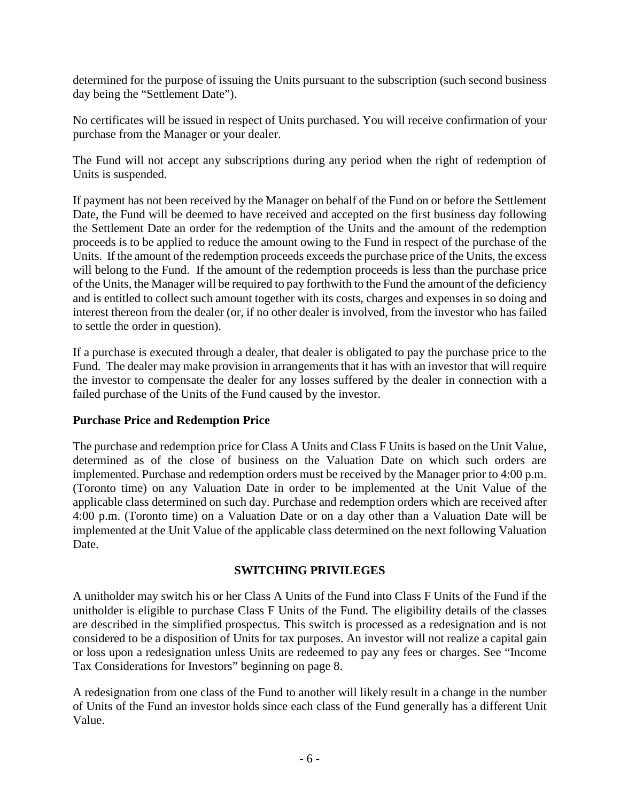determined for the purpose of issuing the Units pursuant to the subscription (such second business day being the "Settlement Date").

No certificates will be issued in respect of Units purchased. You will receive confirmation of your purchase from the Manager or your dealer.

The Fund will not accept any subscriptions during any period when the right of redemption of Units is suspended.

If payment has not been received by the Manager on behalf of the Fund on or before the Settlement Date, the Fund will be deemed to have received and accepted on the first business day following the Settlement Date an order for the redemption of the Units and the amount of the redemption proceeds is to be applied to reduce the amount owing to the Fund in respect of the purchase of the Units. If the amount of the redemption proceeds exceeds the purchase price of the Units, the excess will belong to the Fund. If the amount of the redemption proceeds is less than the purchase price of the Units, the Manager will be required to pay forthwith to the Fund the amount of the deficiency and is entitled to collect such amount together with its costs, charges and expenses in so doing and interest thereon from the dealer (or, if no other dealer is involved, from the investor who has failed to settle the order in question).

If a purchase is executed through a dealer, that dealer is obligated to pay the purchase price to the Fund. The dealer may make provision in arrangements that it has with an investor that will require the investor to compensate the dealer for any losses suffered by the dealer in connection with a failed purchase of the Units of the Fund caused by the investor.

## **Purchase Price and Redemption Price**

The purchase and redemption price for Class A Units and Class F Units is based on the Unit Value, determined as of the close of business on the Valuation Date on which such orders are implemented. Purchase and redemption orders must be received by the Manager prior to 4:00 p.m. (Toronto time) on any Valuation Date in order to be implemented at the Unit Value of the applicable class determined on such day. Purchase and redemption orders which are received after 4:00 p.m. (Toronto time) on a Valuation Date or on a day other than a Valuation Date will be implemented at the Unit Value of the applicable class determined on the next following Valuation Date.

## **SWITCHING PRIVILEGES**

A unitholder may switch his or her Class A Units of the Fund into Class F Units of the Fund if the unitholder is eligible to purchase Class F Units of the Fund. The eligibility details of the classes are described in the simplified prospectus. This switch is processed as a redesignation and is not considered to be a disposition of Units for tax purposes. An investor will not realize a capital gain or loss upon a redesignation unless Units are redeemed to pay any fees or charges. See "Income Tax Considerations for Investors" beginning on page 8.

A redesignation from one class of the Fund to another will likely result in a change in the number of Units of the Fund an investor holds since each class of the Fund generally has a different Unit Value.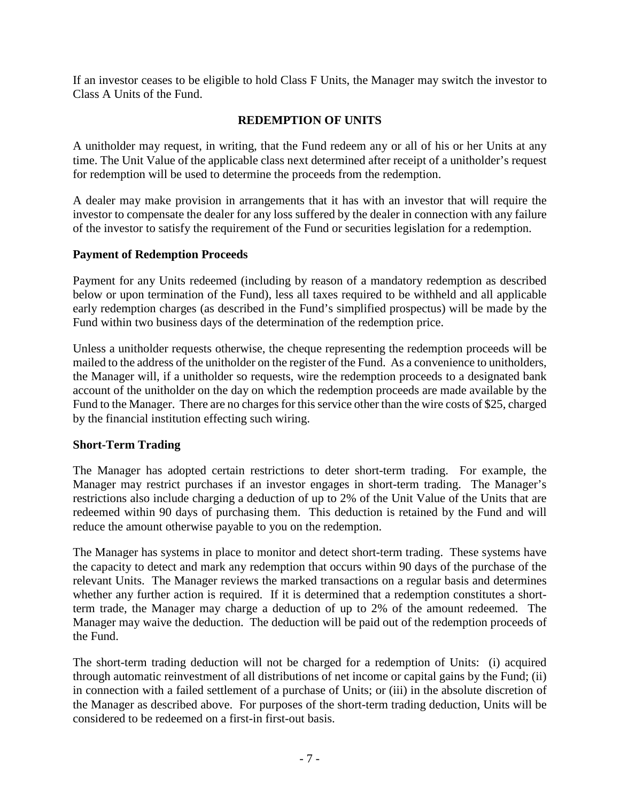If an investor ceases to be eligible to hold Class F Units, the Manager may switch the investor to Class A Units of the Fund.

## **REDEMPTION OF UNITS**

A unitholder may request, in writing, that the Fund redeem any or all of his or her Units at any time. The Unit Value of the applicable class next determined after receipt of a unitholder's request for redemption will be used to determine the proceeds from the redemption.

A dealer may make provision in arrangements that it has with an investor that will require the investor to compensate the dealer for any loss suffered by the dealer in connection with any failure of the investor to satisfy the requirement of the Fund or securities legislation for a redemption.

## **Payment of Redemption Proceeds**

Payment for any Units redeemed (including by reason of a mandatory redemption as described below or upon termination of the Fund), less all taxes required to be withheld and all applicable early redemption charges (as described in the Fund's simplified prospectus) will be made by the Fund within two business days of the determination of the redemption price.

Unless a unitholder requests otherwise, the cheque representing the redemption proceeds will be mailed to the address of the unitholder on the register of the Fund. As a convenience to unitholders, the Manager will, if a unitholder so requests, wire the redemption proceeds to a designated bank account of the unitholder on the day on which the redemption proceeds are made available by the Fund to the Manager. There are no charges for this service other than the wire costs of \$25, charged by the financial institution effecting such wiring.

## **Short-Term Trading**

The Manager has adopted certain restrictions to deter short-term trading. For example, the Manager may restrict purchases if an investor engages in short-term trading. The Manager's restrictions also include charging a deduction of up to 2% of the Unit Value of the Units that are redeemed within 90 days of purchasing them. This deduction is retained by the Fund and will reduce the amount otherwise payable to you on the redemption.

The Manager has systems in place to monitor and detect short-term trading. These systems have the capacity to detect and mark any redemption that occurs within 90 days of the purchase of the relevant Units. The Manager reviews the marked transactions on a regular basis and determines whether any further action is required. If it is determined that a redemption constitutes a shortterm trade, the Manager may charge a deduction of up to 2% of the amount redeemed. The Manager may waive the deduction. The deduction will be paid out of the redemption proceeds of the Fund.

The short-term trading deduction will not be charged for a redemption of Units: (i) acquired through automatic reinvestment of all distributions of net income or capital gains by the Fund; (ii) in connection with a failed settlement of a purchase of Units; or (iii) in the absolute discretion of the Manager as described above. For purposes of the short-term trading deduction, Units will be considered to be redeemed on a first-in first-out basis.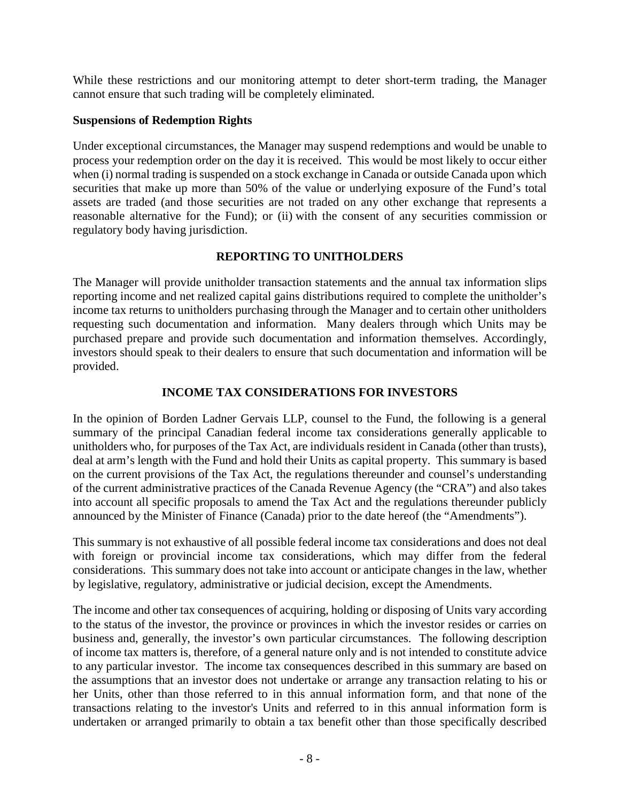While these restrictions and our monitoring attempt to deter short-term trading, the Manager cannot ensure that such trading will be completely eliminated.

#### **Suspensions of Redemption Rights**

Under exceptional circumstances, the Manager may suspend redemptions and would be unable to process your redemption order on the day it is received. This would be most likely to occur either when (i) normal trading is suspended on a stock exchange in Canada or outside Canada upon which securities that make up more than 50% of the value or underlying exposure of the Fund's total assets are traded (and those securities are not traded on any other exchange that represents a reasonable alternative for the Fund); or (ii) with the consent of any securities commission or regulatory body having jurisdiction.

## **REPORTING TO UNITHOLDERS**

The Manager will provide unitholder transaction statements and the annual tax information slips reporting income and net realized capital gains distributions required to complete the unitholder's income tax returns to unitholders purchasing through the Manager and to certain other unitholders requesting such documentation and information. Many dealers through which Units may be purchased prepare and provide such documentation and information themselves. Accordingly, investors should speak to their dealers to ensure that such documentation and information will be provided.

## **INCOME TAX CONSIDERATIONS FOR INVESTORS**

In the opinion of Borden Ladner Gervais LLP, counsel to the Fund, the following is a general summary of the principal Canadian federal income tax considerations generally applicable to unitholders who, for purposes of the Tax Act, are individuals resident in Canada (other than trusts), deal at arm's length with the Fund and hold their Units as capital property. This summary is based on the current provisions of the Tax Act, the regulations thereunder and counsel's understanding of the current administrative practices of the Canada Revenue Agency (the "CRA") and also takes into account all specific proposals to amend the Tax Act and the regulations thereunder publicly announced by the Minister of Finance (Canada) prior to the date hereof (the "Amendments").

This summary is not exhaustive of all possible federal income tax considerations and does not deal with foreign or provincial income tax considerations, which may differ from the federal considerations. This summary does not take into account or anticipate changes in the law, whether by legislative, regulatory, administrative or judicial decision, except the Amendments.

The income and other tax consequences of acquiring, holding or disposing of Units vary according to the status of the investor, the province or provinces in which the investor resides or carries on business and, generally, the investor's own particular circumstances. The following description of income tax matters is, therefore, of a general nature only and is not intended to constitute advice to any particular investor. The income tax consequences described in this summary are based on the assumptions that an investor does not undertake or arrange any transaction relating to his or her Units, other than those referred to in this annual information form, and that none of the transactions relating to the investor's Units and referred to in this annual information form is undertaken or arranged primarily to obtain a tax benefit other than those specifically described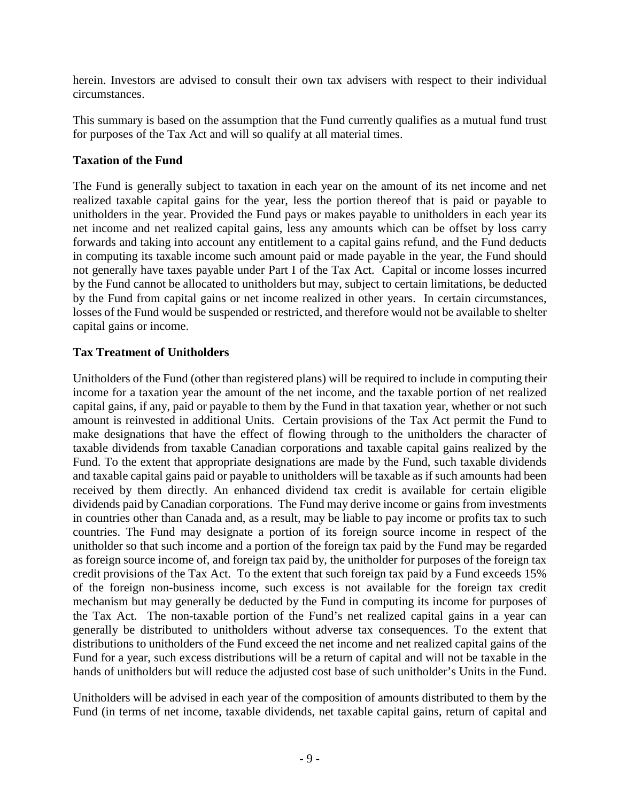herein. Investors are advised to consult their own tax advisers with respect to their individual circumstances.

This summary is based on the assumption that the Fund currently qualifies as a mutual fund trust for purposes of the Tax Act and will so qualify at all material times.

## **Taxation of the Fund**

The Fund is generally subject to taxation in each year on the amount of its net income and net realized taxable capital gains for the year, less the portion thereof that is paid or payable to unitholders in the year. Provided the Fund pays or makes payable to unitholders in each year its net income and net realized capital gains, less any amounts which can be offset by loss carry forwards and taking into account any entitlement to a capital gains refund, and the Fund deducts in computing its taxable income such amount paid or made payable in the year, the Fund should not generally have taxes payable under Part I of the Tax Act. Capital or income losses incurred by the Fund cannot be allocated to unitholders but may, subject to certain limitations, be deducted by the Fund from capital gains or net income realized in other years. In certain circumstances, losses of the Fund would be suspended or restricted, and therefore would not be available to shelter capital gains or income.

## **Tax Treatment of Unitholders**

Unitholders of the Fund (other than registered plans) will be required to include in computing their income for a taxation year the amount of the net income, and the taxable portion of net realized capital gains, if any, paid or payable to them by the Fund in that taxation year, whether or not such amount is reinvested in additional Units. Certain provisions of the Tax Act permit the Fund to make designations that have the effect of flowing through to the unitholders the character of taxable dividends from taxable Canadian corporations and taxable capital gains realized by the Fund. To the extent that appropriate designations are made by the Fund, such taxable dividends and taxable capital gains paid or payable to unitholders will be taxable as if such amounts had been received by them directly. An enhanced dividend tax credit is available for certain eligible dividends paid by Canadian corporations. The Fund may derive income or gains from investments in countries other than Canada and, as a result, may be liable to pay income or profits tax to such countries. The Fund may designate a portion of its foreign source income in respect of the unitholder so that such income and a portion of the foreign tax paid by the Fund may be regarded as foreign source income of, and foreign tax paid by, the unitholder for purposes of the foreign tax credit provisions of the Tax Act. To the extent that such foreign tax paid by a Fund exceeds 15% of the foreign non-business income, such excess is not available for the foreign tax credit mechanism but may generally be deducted by the Fund in computing its income for purposes of the Tax Act. The non-taxable portion of the Fund's net realized capital gains in a year can generally be distributed to unitholders without adverse tax consequences. To the extent that distributions to unitholders of the Fund exceed the net income and net realized capital gains of the Fund for a year, such excess distributions will be a return of capital and will not be taxable in the hands of unitholders but will reduce the adjusted cost base of such unitholder's Units in the Fund.

Unitholders will be advised in each year of the composition of amounts distributed to them by the Fund (in terms of net income, taxable dividends, net taxable capital gains, return of capital and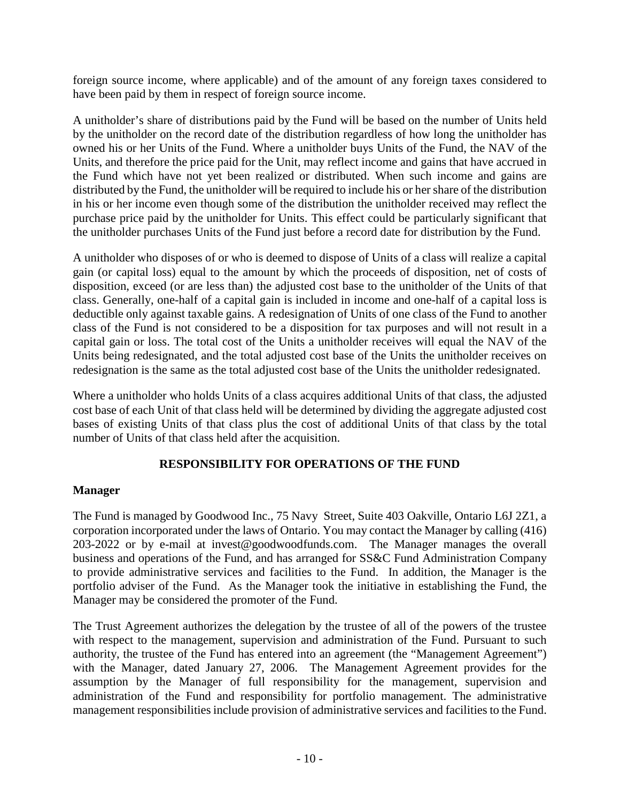foreign source income, where applicable) and of the amount of any foreign taxes considered to have been paid by them in respect of foreign source income.

A unitholder's share of distributions paid by the Fund will be based on the number of Units held by the unitholder on the record date of the distribution regardless of how long the unitholder has owned his or her Units of the Fund. Where a unitholder buys Units of the Fund, the NAV of the Units, and therefore the price paid for the Unit, may reflect income and gains that have accrued in the Fund which have not yet been realized or distributed. When such income and gains are distributed by the Fund, the unitholder will be required to include his or her share of the distribution in his or her income even though some of the distribution the unitholder received may reflect the purchase price paid by the unitholder for Units. This effect could be particularly significant that the unitholder purchases Units of the Fund just before a record date for distribution by the Fund.

A unitholder who disposes of or who is deemed to dispose of Units of a class will realize a capital gain (or capital loss) equal to the amount by which the proceeds of disposition, net of costs of disposition, exceed (or are less than) the adjusted cost base to the unitholder of the Units of that class. Generally, one-half of a capital gain is included in income and one-half of a capital loss is deductible only against taxable gains. A redesignation of Units of one class of the Fund to another class of the Fund is not considered to be a disposition for tax purposes and will not result in a capital gain or loss. The total cost of the Units a unitholder receives will equal the NAV of the Units being redesignated, and the total adjusted cost base of the Units the unitholder receives on redesignation is the same as the total adjusted cost base of the Units the unitholder redesignated.

Where a unitholder who holds Units of a class acquires additional Units of that class, the adjusted cost base of each Unit of that class held will be determined by dividing the aggregate adjusted cost bases of existing Units of that class plus the cost of additional Units of that class by the total number of Units of that class held after the acquisition.

## **RESPONSIBILITY FOR OPERATIONS OF THE FUND**

## **Manager**

The Fund is managed by Goodwood Inc., 75 Navy Street, Suite 403 Oakville, Ontario L6J 2Z1, a corporation incorporated under the laws of Ontario. You may contact the Manager by calling (416) 203-2022 or by e-mail at invest@goodwoodfunds.com. The Manager manages the overall business and operations of the Fund, and has arranged for SS&C Fund Administration Company to provide administrative services and facilities to the Fund. In addition, the Manager is the portfolio adviser of the Fund. As the Manager took the initiative in establishing the Fund, the Manager may be considered the promoter of the Fund.

The Trust Agreement authorizes the delegation by the trustee of all of the powers of the trustee with respect to the management, supervision and administration of the Fund. Pursuant to such authority, the trustee of the Fund has entered into an agreement (the "Management Agreement") with the Manager, dated January 27, 2006. The Management Agreement provides for the assumption by the Manager of full responsibility for the management, supervision and administration of the Fund and responsibility for portfolio management. The administrative management responsibilities include provision of administrative services and facilities to the Fund.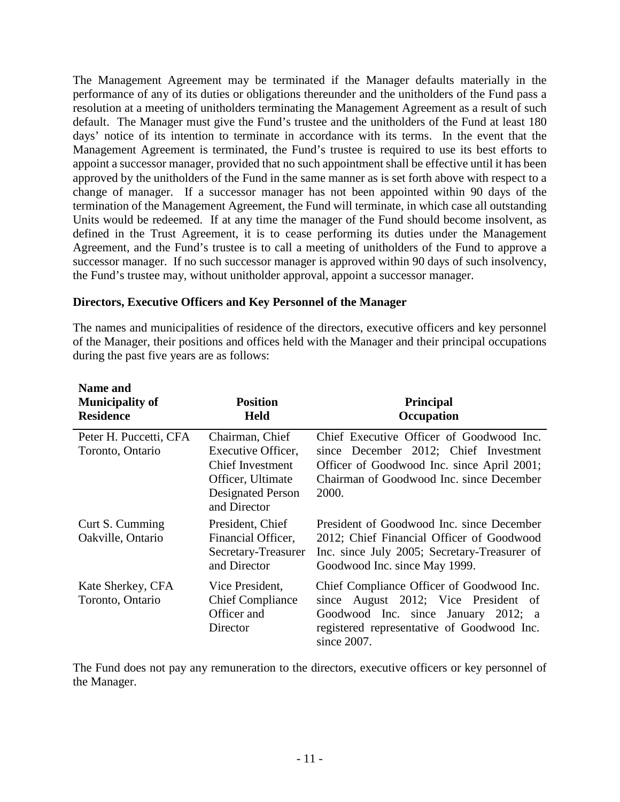The Management Agreement may be terminated if the Manager defaults materially in the performance of any of its duties or obligations thereunder and the unitholders of the Fund pass a resolution at a meeting of unitholders terminating the Management Agreement as a result of such default. The Manager must give the Fund's trustee and the unitholders of the Fund at least 180 days' notice of its intention to terminate in accordance with its terms. In the event that the Management Agreement is terminated, the Fund's trustee is required to use its best efforts to appoint a successor manager, provided that no such appointment shall be effective until it has been approved by the unitholders of the Fund in the same manner as is set forth above with respect to a change of manager. If a successor manager has not been appointed within 90 days of the termination of the Management Agreement, the Fund will terminate, in which case all outstanding Units would be redeemed. If at any time the manager of the Fund should become insolvent, as defined in the Trust Agreement, it is to cease performing its duties under the Management Agreement, and the Fund's trustee is to call a meeting of unitholders of the Fund to approve a successor manager. If no such successor manager is approved within 90 days of such insolvency, the Fund's trustee may, without unitholder approval, appoint a successor manager.

#### **Directors, Executive Officers and Key Personnel of the Manager**

The names and municipalities of residence of the directors, executive officers and key personnel of the Manager, their positions and offices held with the Manager and their principal occupations during the past five years are as follows:

| <b>Name and</b><br><b>Municipality of</b><br><b>Residence</b> | <b>Position</b><br><b>Held</b>                                                                                                    | <b>Principal</b><br>Occupation                                                                                                                                                        |
|---------------------------------------------------------------|-----------------------------------------------------------------------------------------------------------------------------------|---------------------------------------------------------------------------------------------------------------------------------------------------------------------------------------|
| Peter H. Puccetti, CFA<br>Toronto, Ontario                    | Chairman, Chief<br>Executive Officer,<br><b>Chief Investment</b><br>Officer, Ultimate<br><b>Designated Person</b><br>and Director | Chief Executive Officer of Goodwood Inc.<br>since December 2012; Chief Investment<br>Officer of Goodwood Inc. since April 2001;<br>Chairman of Goodwood Inc. since December<br>2000.  |
| Curt S. Cumming<br>Oakville, Ontario                          | President, Chief<br>Financial Officer,<br>Secretary-Treasurer<br>and Director                                                     | President of Goodwood Inc. since December<br>2012; Chief Financial Officer of Goodwood<br>Inc. since July 2005; Secretary-Treasurer of<br>Goodwood Inc. since May 1999.               |
| Kate Sherkey, CFA<br>Toronto, Ontario                         | Vice President,<br><b>Chief Compliance</b><br>Officer and<br>Director                                                             | Chief Compliance Officer of Goodwood Inc.<br>since August 2012; Vice President of<br>Goodwood Inc. since January 2012; a<br>registered representative of Goodwood Inc.<br>since 2007. |

The Fund does not pay any remuneration to the directors, executive officers or key personnel of the Manager.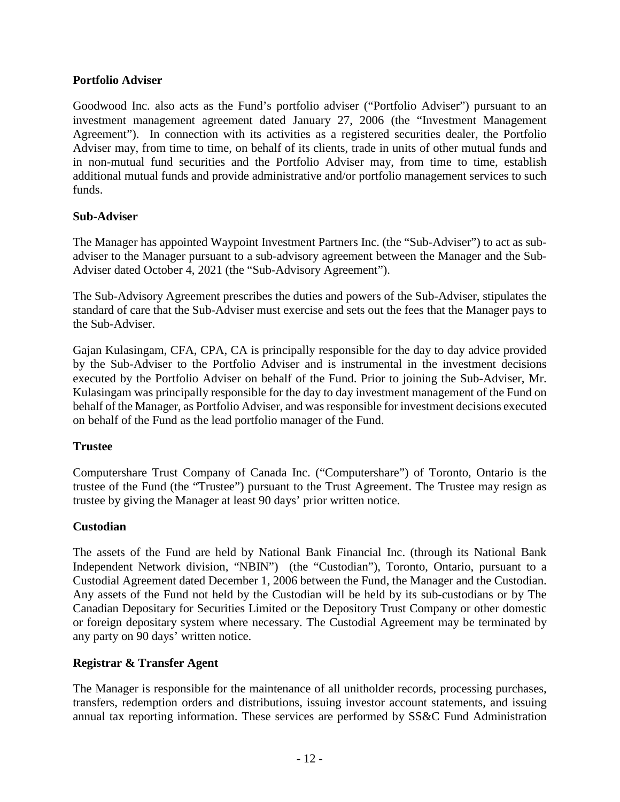#### **Portfolio Adviser**

Goodwood Inc. also acts as the Fund's portfolio adviser ("Portfolio Adviser") pursuant to an investment management agreement dated January 27, 2006 (the "Investment Management Agreement"). In connection with its activities as a registered securities dealer, the Portfolio Adviser may, from time to time, on behalf of its clients, trade in units of other mutual funds and in non-mutual fund securities and the Portfolio Adviser may, from time to time, establish additional mutual funds and provide administrative and/or portfolio management services to such funds.

#### **Sub-Adviser**

The Manager has appointed Waypoint Investment Partners Inc. (the "Sub-Adviser") to act as subadviser to the Manager pursuant to a sub-advisory agreement between the Manager and the Sub-Adviser dated October 4, 2021 (the "Sub-Advisory Agreement").

The Sub-Advisory Agreement prescribes the duties and powers of the Sub-Adviser, stipulates the standard of care that the Sub-Adviser must exercise and sets out the fees that the Manager pays to the Sub-Adviser.

Gajan Kulasingam, CFA, CPA, CA is principally responsible for the day to day advice provided by the Sub-Adviser to the Portfolio Adviser and is instrumental in the investment decisions executed by the Portfolio Adviser on behalf of the Fund. Prior to joining the Sub-Adviser, Mr. Kulasingam was principally responsible for the day to day investment management of the Fund on behalf of the Manager, as Portfolio Adviser, and was responsible for investment decisions executed on behalf of the Fund as the lead portfolio manager of the Fund.

#### **Trustee**

Computershare Trust Company of Canada Inc. ("Computershare") of Toronto, Ontario is the trustee of the Fund (the "Trustee") pursuant to the Trust Agreement. The Trustee may resign as trustee by giving the Manager at least 90 days' prior written notice.

## **Custodian**

The assets of the Fund are held by National Bank Financial Inc. (through its National Bank Independent Network division, "NBIN") (the "Custodian"), Toronto, Ontario, pursuant to a Custodial Agreement dated December 1, 2006 between the Fund, the Manager and the Custodian. Any assets of the Fund not held by the Custodian will be held by its sub-custodians or by The Canadian Depositary for Securities Limited or the Depository Trust Company or other domestic or foreign depositary system where necessary. The Custodial Agreement may be terminated by any party on 90 days' written notice.

#### **Registrar & Transfer Agent**

The Manager is responsible for the maintenance of all unitholder records, processing purchases, transfers, redemption orders and distributions, issuing investor account statements, and issuing annual tax reporting information. These services are performed by SS&C Fund Administration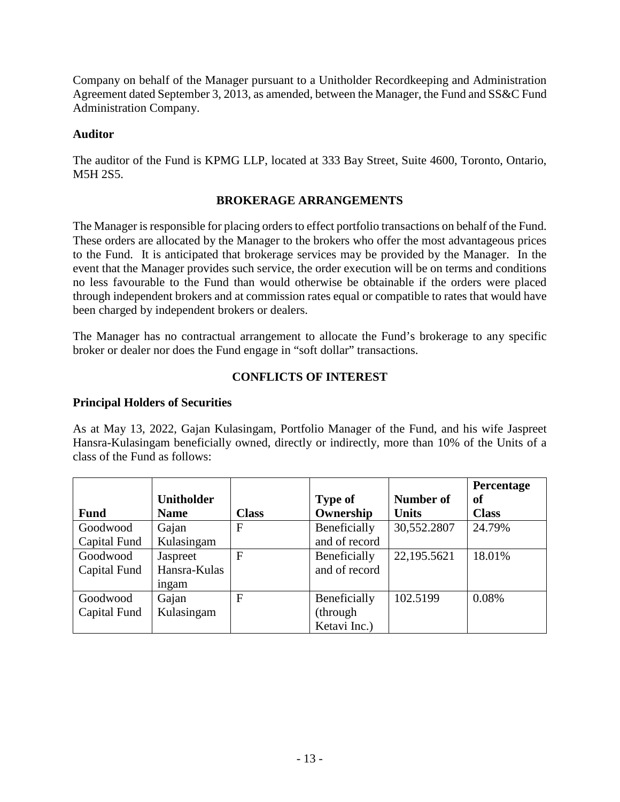Company on behalf of the Manager pursuant to a Unitholder Recordkeeping and Administration Agreement dated September 3, 2013, as amended, between the Manager, the Fund and SS&C Fund Administration Company.

#### **Auditor**

The auditor of the Fund is KPMG LLP, located at 333 Bay Street, Suite 4600, Toronto, Ontario, M5H 2S5.

## **BROKERAGE ARRANGEMENTS**

The Manager is responsible for placing orders to effect portfolio transactions on behalf of the Fund. These orders are allocated by the Manager to the brokers who offer the most advantageous prices to the Fund. It is anticipated that brokerage services may be provided by the Manager. In the event that the Manager provides such service, the order execution will be on terms and conditions no less favourable to the Fund than would otherwise be obtainable if the orders were placed through independent brokers and at commission rates equal or compatible to rates that would have been charged by independent brokers or dealers.

The Manager has no contractual arrangement to allocate the Fund's brokerage to any specific broker or dealer nor does the Fund engage in "soft dollar" transactions.

## **CONFLICTS OF INTEREST**

## **Principal Holders of Securities**

As at May 13, 2022, Gajan Kulasingam, Portfolio Manager of the Fund, and his wife Jaspreet Hansra-Kulasingam beneficially owned, directly or indirectly, more than 10% of the Units of a class of the Fund as follows:

|              |                   |              |                |                  | <b>Percentage</b> |
|--------------|-------------------|--------------|----------------|------------------|-------------------|
|              | <b>Unitholder</b> |              | <b>Type of</b> | <b>Number of</b> | of                |
| <b>Fund</b>  | <b>Name</b>       | <b>Class</b> | Ownership      | <b>Units</b>     | <b>Class</b>      |
| Goodwood     | Gajan             | $\mathbf{F}$ | Beneficially   | 30,552.2807      | 24.79%            |
| Capital Fund | Kulasingam        |              | and of record  |                  |                   |
| Goodwood     | Jaspreet          | $\mathbf{F}$ | Beneficially   | 22,195.5621      | 18.01%            |
| Capital Fund | Hansra-Kulas      |              | and of record  |                  |                   |
|              | ingam             |              |                |                  |                   |
| Goodwood     | Gajan             | $\mathbf{F}$ | Beneficially   | 102.5199         | 0.08%             |
| Capital Fund | Kulasingam        |              | (through)      |                  |                   |
|              |                   |              | Ketavi Inc.)   |                  |                   |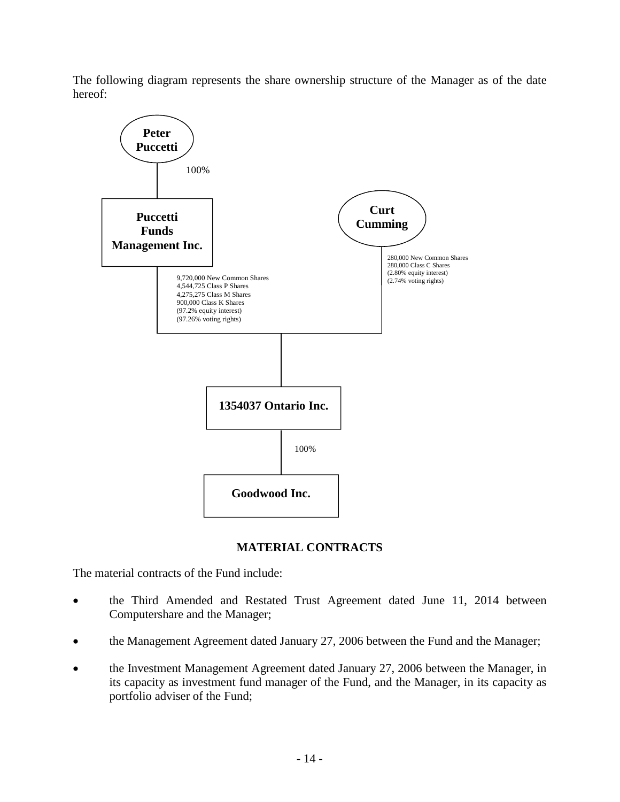The following diagram represents the share ownership structure of the Manager as of the date hereof:



## **MATERIAL CONTRACTS**

The material contracts of the Fund include:

- the Third Amended and Restated Trust Agreement dated June 11, 2014 between Computershare and the Manager;
- the Management Agreement dated January 27, 2006 between the Fund and the Manager;
- the Investment Management Agreement dated January 27, 2006 between the Manager, in its capacity as investment fund manager of the Fund, and the Manager, in its capacity as portfolio adviser of the Fund;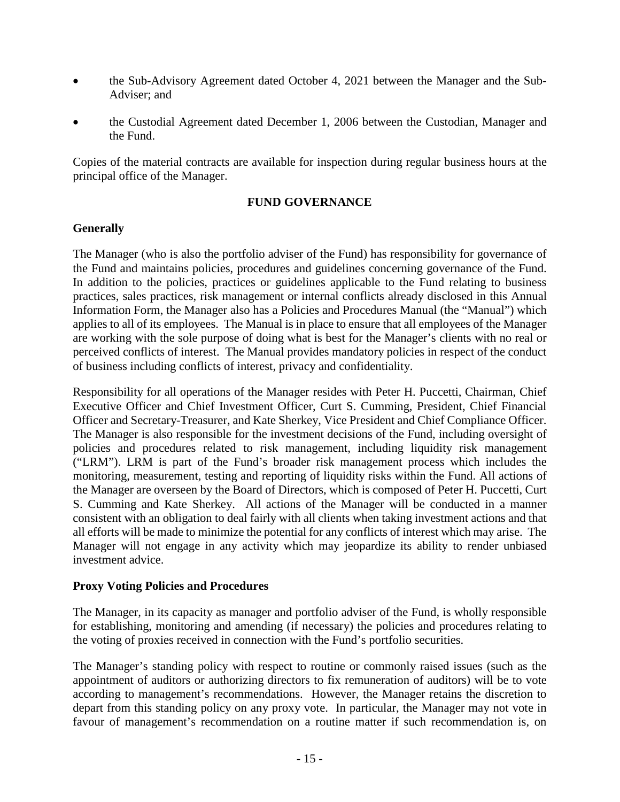- the Sub-Advisory Agreement dated October 4, 2021 between the Manager and the Sub-Adviser; and
- the Custodial Agreement dated December 1, 2006 between the Custodian, Manager and the Fund.

Copies of the material contracts are available for inspection during regular business hours at the principal office of the Manager.

#### **FUND GOVERNANCE**

#### **Generally**

The Manager (who is also the portfolio adviser of the Fund) has responsibility for governance of the Fund and maintains policies, procedures and guidelines concerning governance of the Fund. In addition to the policies, practices or guidelines applicable to the Fund relating to business practices, sales practices, risk management or internal conflicts already disclosed in this Annual Information Form, the Manager also has a Policies and Procedures Manual (the "Manual") which applies to all of its employees. The Manual is in place to ensure that all employees of the Manager are working with the sole purpose of doing what is best for the Manager's clients with no real or perceived conflicts of interest. The Manual provides mandatory policies in respect of the conduct of business including conflicts of interest, privacy and confidentiality.

Responsibility for all operations of the Manager resides with Peter H. Puccetti, Chairman, Chief Executive Officer and Chief Investment Officer, Curt S. Cumming, President, Chief Financial Officer and Secretary-Treasurer, and Kate Sherkey, Vice President and Chief Compliance Officer. The Manager is also responsible for the investment decisions of the Fund, including oversight of policies and procedures related to risk management, including liquidity risk management ("LRM"). LRM is part of the Fund's broader risk management process which includes the monitoring, measurement, testing and reporting of liquidity risks within the Fund. All actions of the Manager are overseen by the Board of Directors, which is composed of Peter H. Puccetti, Curt S. Cumming and Kate Sherkey. All actions of the Manager will be conducted in a manner consistent with an obligation to deal fairly with all clients when taking investment actions and that all efforts will be made to minimize the potential for any conflicts of interest which may arise. The Manager will not engage in any activity which may jeopardize its ability to render unbiased investment advice.

#### **Proxy Voting Policies and Procedures**

The Manager, in its capacity as manager and portfolio adviser of the Fund, is wholly responsible for establishing, monitoring and amending (if necessary) the policies and procedures relating to the voting of proxies received in connection with the Fund's portfolio securities.

The Manager's standing policy with respect to routine or commonly raised issues (such as the appointment of auditors or authorizing directors to fix remuneration of auditors) will be to vote according to management's recommendations. However, the Manager retains the discretion to depart from this standing policy on any proxy vote. In particular, the Manager may not vote in favour of management's recommendation on a routine matter if such recommendation is, on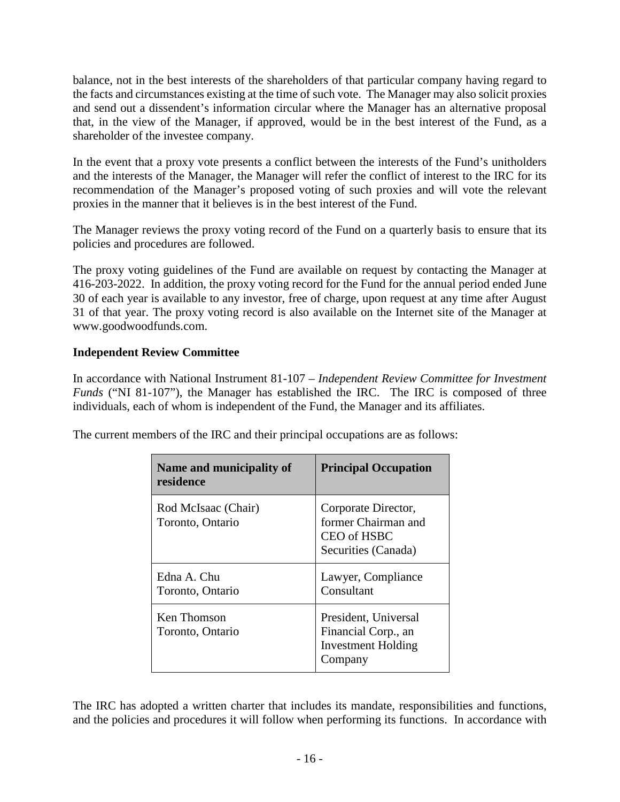balance, not in the best interests of the shareholders of that particular company having regard to the facts and circumstances existing at the time of such vote. The Manager may also solicit proxies and send out a dissendent's information circular where the Manager has an alternative proposal that, in the view of the Manager, if approved, would be in the best interest of the Fund, as a shareholder of the investee company.

In the event that a proxy vote presents a conflict between the interests of the Fund's unitholders and the interests of the Manager, the Manager will refer the conflict of interest to the IRC for its recommendation of the Manager's proposed voting of such proxies and will vote the relevant proxies in the manner that it believes is in the best interest of the Fund.

The Manager reviews the proxy voting record of the Fund on a quarterly basis to ensure that its policies and procedures are followed.

The proxy voting guidelines of the Fund are available on request by contacting the Manager at 416-203-2022. In addition, the proxy voting record for the Fund for the annual period ended June 30 of each year is available to any investor, free of charge, upon request at any time after August 31 of that year. The proxy voting record is also available on the Internet site of the Manager at www.goodwoodfunds.com.

## **Independent Review Committee**

In accordance with National Instrument 81-107 – *Independent Review Committee for Investment Funds* ("NI 81-107"), the Manager has established the IRC. The IRC is composed of three individuals, each of whom is independent of the Fund, the Manager and its affiliates.

The current members of the IRC and their principal occupations are as follows:

| Name and municipality of<br>residence   | <b>Principal Occupation</b>                                                         |
|-----------------------------------------|-------------------------------------------------------------------------------------|
| Rod McIsaac (Chair)<br>Toronto, Ontario | Corporate Director,<br>former Chairman and<br>CEO of HSBC<br>Securities (Canada)    |
| Edna A. Chu<br>Toronto, Ontario         | Lawyer, Compliance<br>Consultant                                                    |
| Ken Thomson<br>Toronto, Ontario         | President, Universal<br>Financial Corp., an<br><b>Investment Holding</b><br>Company |

The IRC has adopted a written charter that includes its mandate, responsibilities and functions, and the policies and procedures it will follow when performing its functions. In accordance with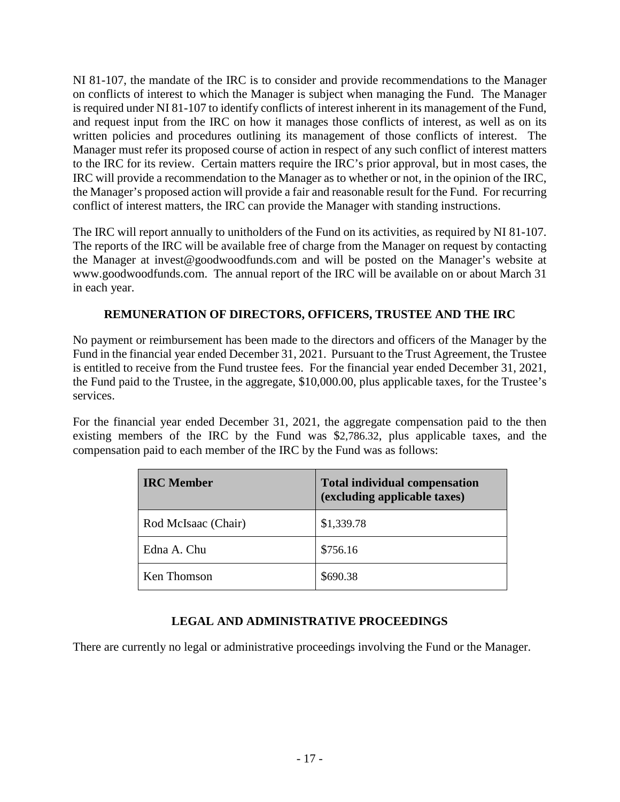NI 81-107, the mandate of the IRC is to consider and provide recommendations to the Manager on conflicts of interest to which the Manager is subject when managing the Fund. The Manager is required under NI 81-107 to identify conflicts of interest inherent in its management of the Fund, and request input from the IRC on how it manages those conflicts of interest, as well as on its written policies and procedures outlining its management of those conflicts of interest. The Manager must refer its proposed course of action in respect of any such conflict of interest matters to the IRC for its review. Certain matters require the IRC's prior approval, but in most cases, the IRC will provide a recommendation to the Manager as to whether or not, in the opinion of the IRC, the Manager's proposed action will provide a fair and reasonable result for the Fund. For recurring conflict of interest matters, the IRC can provide the Manager with standing instructions.

The IRC will report annually to unitholders of the Fund on its activities, as required by NI 81-107. The reports of the IRC will be available free of charge from the Manager on request by contacting the Manager at invest@goodwoodfunds.com and will be posted on the Manager's website at www.goodwoodfunds.com. The annual report of the IRC will be available on or about March 31 in each year.

## **REMUNERATION OF DIRECTORS, OFFICERS, TRUSTEE AND THE IRC**

No payment or reimbursement has been made to the directors and officers of the Manager by the Fund in the financial year ended December 31, 2021. Pursuant to the Trust Agreement, the Trustee is entitled to receive from the Fund trustee fees. For the financial year ended December 31, 2021, the Fund paid to the Trustee, in the aggregate, \$10,000.00, plus applicable taxes, for the Trustee's services.

For the financial year ended December 31, 2021, the aggregate compensation paid to the then existing members of the IRC by the Fund was \$2,786.32, plus applicable taxes, and the compensation paid to each member of the IRC by the Fund was as follows:

| <b>IRC</b> Member   | <b>Total individual compensation</b><br>(excluding applicable taxes) |
|---------------------|----------------------------------------------------------------------|
| Rod McIsaac (Chair) | \$1,339.78                                                           |
| Edna A. Chu         | \$756.16                                                             |
| Ken Thomson         | \$690.38                                                             |

# **LEGAL AND ADMINISTRATIVE PROCEEDINGS**

There are currently no legal or administrative proceedings involving the Fund or the Manager.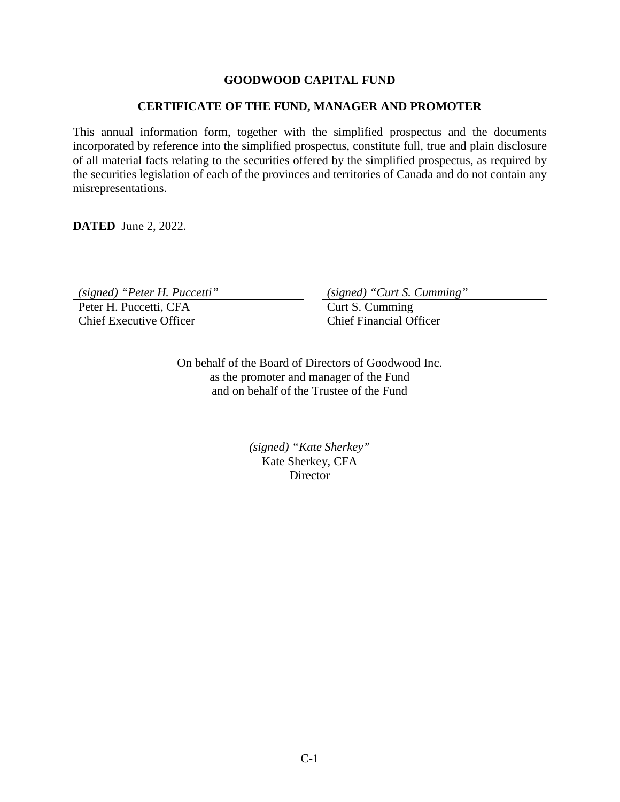#### **GOODWOOD CAPITAL FUND**

#### **CERTIFICATE OF THE FUND, MANAGER AND PROMOTER**

This annual information form, together with the simplified prospectus and the documents incorporated by reference into the simplified prospectus, constitute full, true and plain disclosure of all material facts relating to the securities offered by the simplified prospectus, as required by the securities legislation of each of the provinces and territories of Canada and do not contain any misrepresentations.

**DATED** June 2, 2022.

*(signed) "Peter H. Puccetti" (signed) "Curt S. Cumming"* 

Peter H. Puccetti, CFA Chief Executive Officer

 Curt S. Cumming Chief Financial Officer

On behalf of the Board of Directors of Goodwood Inc. as the promoter and manager of the Fund and on behalf of the Trustee of the Fund

*(signed) "Kate Sherkey"* 

Kate Sherkey, CFA **Director**